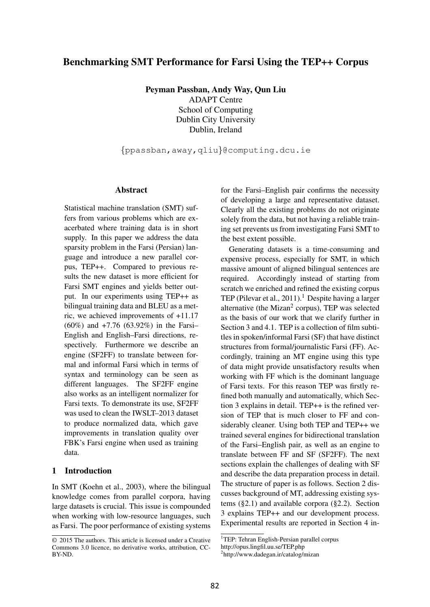# Benchmarking SMT Performance for Farsi Using the TEP++ Corpus

Peyman Passban, Andy Way, Qun Liu

ADAPT Centre School of Computing Dublin City University Dublin, Ireland

{ppassban,away,qliu}@computing.dcu.ie

#### Abstract

Statistical machine translation (SMT) suffers from various problems which are exacerbated where training data is in short supply. In this paper we address the data sparsity problem in the Farsi (Persian) language and introduce a new parallel corpus, TEP++. Compared to previous results the new dataset is more efficient for Farsi SMT engines and yields better output. In our experiments using TEP++ as bilingual training data and BLEU as a metric, we achieved improvements of +11.17 (60%) and +7.76 (63.92%) in the Farsi– English and English–Farsi directions, respectively. Furthermore we describe an engine (SF2FF) to translate between formal and informal Farsi which in terms of syntax and terminology can be seen as different languages. The SF2FF engine also works as an intelligent normalizer for Farsi texts. To demonstrate its use, SF2FF was used to clean the IWSLT–2013 dataset to produce normalized data, which gave improvements in translation quality over FBK's Farsi engine when used as training data.

### 1 Introduction

In SMT (Koehn et al., 2003), where the bilingual knowledge comes from parallel corpora, having large datasets is crucial. This issue is compounded when working with low-resource languages, such as Farsi. The poor performance of existing systems for the Farsi–English pair confirms the necessity of developing a large and representative dataset. Clearly all the existing problems do not originate solely from the data, but not having a reliable training set prevents us from investigating Farsi SMT to the best extent possible.

Generating datasets is a time-consuming and expensive process, especially for SMT, in which massive amount of aligned bilingual sentences are required. Accordingly instead of starting from scratch we enriched and refined the existing corpus TEP (Pilevar et al., 2011).<sup>1</sup> Despite having a larger alternative (the Mizan<sup>2</sup> corpus), TEP was selected as the basis of our work that we clarify further in Section 3 and 4.1. TEP is a collection of film subtitles in spoken/informal Farsi (SF) that have distinct structures from formal/journalistic Farsi (FF). Accordingly, training an MT engine using this type of data might provide unsatisfactory results when working with FF which is the dominant language of Farsi texts. For this reason TEP was firstly refined both manually and automatically, which Section 3 explains in detail. TEP++ is the refined version of TEP that is much closer to FF and considerably cleaner. Using both TEP and TEP++ we trained several engines for bidirectional translation of the Farsi–English pair, as well as an engine to translate between FF and SF (SF2FF). The next sections explain the challenges of dealing with SF and describe the data preparation process in detail. The structure of paper is as follows. Section 2 discusses background of MT, addressing existing systems (§2.1) and available corpora (§2.2). Section 3 explains TEP++ and our development process. Experimental results are reported in Section 4 in-

<sup>© 2015</sup> The authors. This article is licensed under a Creative Commons 3.0 licence, no derivative works, attribution, CC-BY-ND.

<sup>&</sup>lt;sup>1</sup>TEP: Tehran English-Persian parallel corpus http://opus.lingfil.uu.se/TEP.php

<sup>2</sup> http://www.dadegan.ir/catalog/mizan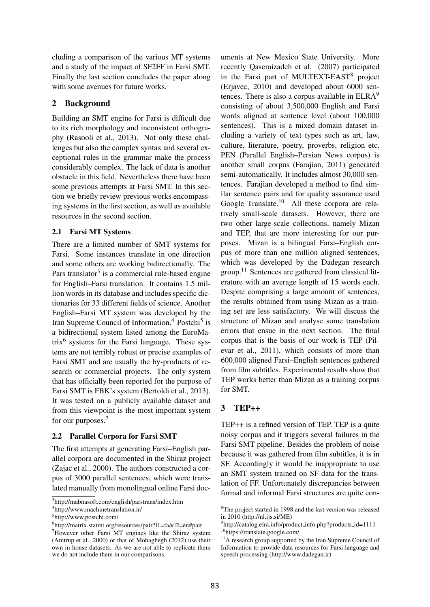cluding a comparison of the various MT systems and a study of the impact of SF2FF in Farsi SMT. Finally the last section concludes the paper along with some avenues for future works.

### 2 Background

Building an SMT engine for Farsi is difficult due to its rich morphology and inconsistent orthography (Rasooli et al., 2013). Not only these challenges but also the complex syntax and several exceptional rules in the grammar make the process considerably complex. The lack of data is another obstacle in this field. Nevertheless there have been some previous attempts at Farsi SMT. In this section we briefly review previous works encompassing systems in the first section, as well as available resources in the second section.

### 2.1 Farsi MT Systems

There are a limited number of SMT systems for Farsi. Some instances translate in one direction and some others are working bidirectionally. The Pars translator<sup>3</sup> is a commercial rule-based engine for English–Farsi translation. It contains 1.5 million words in its database and includes specific dictionaries for 33 different fields of science. Another English–Farsi MT system was developed by the Iran Supreme Council of Information.<sup>4</sup> Postchi<sup>5</sup> is a bidirectional system listed among the EuroMatrix<sup>6</sup> systems for the Farsi language. These systems are not terribly robust or precise examples of Farsi SMT and are usually the by-products of research or commercial projects. The only system that has officially been reported for the purpose of Farsi SMT is FBK's system (Bertoldi et al., 2013). It was tested on a publicly available dataset and from this viewpoint is the most important system for our purposes.<sup>7</sup>

### 2.2 Parallel Corpora for Farsi SMT

The first attempts at generating Farsi–English parallel corpora are documented in the Shiraz project (Zajac et al., 2000). The authors constructed a corpus of 3000 parallel sentences, which were translated manually from monolingual online Farsi documents at New Mexico State University. More recently Qasemizadeh et al. (2007) participated in the Farsi part of MULTEXT-EAST<sup>8</sup> project (Erjavec, 2010) and developed about 6000 sentences. There is also a corpus available in ELRA<sup>9</sup> consisting of about 3,500,000 English and Farsi words aligned at sentence level (about 100,000 sentences). This is a mixed domain dataset including a variety of text types such as art, law, culture, literature, poetry, proverbs, religion etc. PEN (Parallel English–Persian News corpus) is another small corpus (Farajian, 2011) generated semi-automatically. It includes almost 30,000 sentences. Farajian developed a method to find similar sentence pairs and for quality assurance used Google Translate.<sup>10</sup> All these corpora are relatively small-scale datasets. However, there are two other large-scale collections, namely Mizan and TEP, that are more interesting for our purposes. Mizan is a bilingual Farsi–English corpus of more than one million aligned sentences, which was developed by the Dadegan research group.<sup>11</sup> Sentences are gathered from classical literature with an average length of 15 words each. Despite comprising a large amount of sentences, the results obtained from using Mizan as a training set are less satisfactory. We will discuss the structure of Mizan and analyse some translation errors that ensue in the next section. The final corpus that is the basis of our work is TEP (Pilevar et al., 2011), which consists of more than 600,000 aligned Farsi–English sentences gathered from film subtitles. Experimental results show that TEP works better than Mizan as a training corpus for SMT.

## 3 TEP++

TEP++ is a refined version of TEP. TEP is a quite noisy corpus and it triggers several failures in the Farsi SMT pipeline. Besides the problem of noise because it was gathered from film subtitles, it is in SF. Accordingly it would be inappropriate to use an SMT system trained on SF data for the translation of FF. Unfortunately discrepancies between formal and informal Farsi structures are quite con-

<sup>3</sup> http://mabnasoft.com/english/parstrans/index.htm

<sup>4</sup> http://www.machinetranslation.ir/

<sup>5</sup> http://www.postchi.com/

<sup>6</sup> http://matrix.statmt.org/resources/pair?l1=fa&l2=en#pair <sup>7</sup>However other Farsi MT engines like the Shiraz system (Amtrup et al., 2000) or that of Mohaghegh (2012) use their own in-house datasets. As we are not able to replicate them we do not include them in our comparisons.

<sup>8</sup>The project started in 1998 and the last version was released in 2010 (http://nl.ijs.si/ME)

<sup>9</sup> http://catalog.elra.info/product info.php?products id=1111 <sup>10</sup>https://translate.google.com/

<sup>&</sup>lt;sup>11</sup>A research group supported by the Iran Supreme Council of Information to provide data resources for Farsi language and speech processing (http://www.dadegan.ir)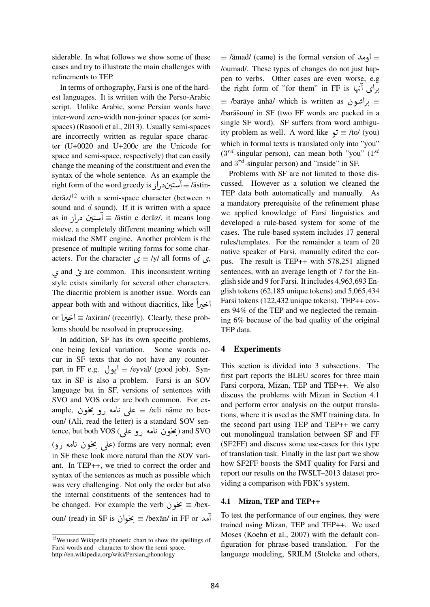siderable. In what follows we show some of these cases and try to illustrate the main challenges with refinements to TEP.

In terms of orthography, Farsi is one of the hardest languages. It is written with the Perso-Arabic script. Unlike Arabic, some Persian words have inter-word zero-width non-joiner spaces (or semispaces) (Rasooli et al., 2013). Usually semi-spaces are incorrectly written as regular space character (U+0020 and U+200c are the Unicode for space and semi-space, respectively) that can easily change the meaning of the constituent and even the syntax of the whole sentence. As an example the syntax of the whole sentence. As an example the<br>right form of the word greedy is  $\mathcal{E}$ آستین د<sub>ر</sub> از j  $\ddot{\cdot}$ e<br>.. derāz/ $12$  with a semi-space character (between n sound and  $d$  sound). If it is written with a space sound and *d* sound). If it is written with a space<br>as in  $\bigcup_{i=1}^n \equiv \overline{a}$  astin e derāz/, it means long ้<br>เ į  $\ddot{\cdot}$ sleeve, a completely different meaning which will mislead the SMT engine. Another problem is the presence of multiple writing forms for some characters. For the character  $\zeta \equiv$  /y/ all forms of  $\zeta$ , پس and *b* are common. This inconsistent writing.<br>and *پ* are common. This inconsistent writing style exists similarly for several other characters. The diacritic problem is another issue. Words can  $appear both with and without diacritics, like  $\frac{d}{dx}$$  $\frac{1}{2}$ ļ l<br>. or @Q g@ <sup>≡</sup> /axiran/ (recently). Clearly, these prob- $\ddot{\cdot}$  lems should be resolved in preprocessing.

In addition, SF has its own specific problems, one being lexical variation. Some words occur in SF texts that do not have any counter $ext{ in }$  FF e.g.  $\bigcup_{i=1}^{\infty}$  = /eyval/ (good job). Syntax in SF is also a problem. Farsi is an SOV language but in SF, versions of sentences with SVO and VOS order are both common. For example.<br> $\Rightarrow$  all name ro bex-<br> $\equiv$  /æli name ro bex-SVO and VOS order are both common. For ex-<br>ample, à على نامه رو مخون ≡ /æli nāme ro bex-;<br>; .<br>.<br>. oun/ (Ali, read the letter) is a standard SOV senoun/ (Ali, read the letter) is a standard SOV sen-<br>tence, but both VOS (غون نامه رو علي) and SVO .<br>ز ์<br>. i<br>. .<br>.<br>. ence, but both voo (علمی) and 5 é ) and 5 é )<br>die s éo (علمی بخون نامه رو) forms are very normal; even .<br>ز  $\overline{\phantom{a}}$ )<br>. in SF these look more natural than the SOV variant. In TEP++, we tried to correct the order and syntax of the sentences as much as possible which was very challenging. Not only the order but also the internal constituents of the sentences had to the internal constituents of the sentences had to<br>be changed. For example the verb  $\geq \epsilon$  = /bex- $\ddot{\phantom{0}}$ oun/ (read) in SF is خون  $\equiv$ /bexān/ in FF or خوان (read) in SF is خوان @

 $\equiv$  /āmad/ (came) is the formal version of  $\Rightarrow$   $\equiv$ /oumad/. These types of changes do not just happen to verbs. Other cases are even worse, e.g pen to verbs. Other cases are even worse, e.g<br>برای آنها FF is Right form of "for them" in FF is بری ہہا تھا ۔ anh a/ which is written as جزاشون anta ≡ /barāye ānhā/ which is written  $\overline{a}$ /bar $\bar{a}$ soun/ in SF (two FF words are packed in a single SF word). SF suffers from word ambiguity problem as well. A word like  $\vec{v} \equiv$  /to/ (you) V<br>.. which in formal texts is translated only into "you"  $(3^{rd}$ -singular person), can mean both "you"  $(1^{st}$ and  $3^{rd}$ -singular person) and "inside" in SF.

Problems with SF are not limited to those discussed. However as a solution we cleaned the TEP data both automatically and manually. As a mandatory prerequisite of the refinement phase we applied knowledge of Farsi linguistics and developed a rule-based system for some of the cases. The rule-based system includes 17 general rules/templates. For the remainder a team of 20 native speaker of Farsi, manually edited the corpus. The result is TEP++ with 578,251 aligned sentences, with an average length of 7 for the English side and 9 for Farsi. It includes 4,963,693 English tokens (62,185 unique tokens) and 5,065,434 Farsi tokens (122,432 unique tokens). TEP++ covers 94% of the TEP and we neglected the remaining 6% because of the bad quality of the original TEP data.

#### 4 Experiments

This section is divided into 3 subsections. The first part reports the BLEU scores for three main Farsi corpora, Mizan, TEP and TEP++. We also discuss the problems with Mizan in Section 4.1 and perform error analysis on the output translations, where it is used as the SMT training data. In the second part using TEP and TEP++ we carry out monolingual translation between SF and FF (SF2FF) and discuss some use-cases for this type of translation task. Finally in the last part we show how SF2FF boosts the SMT quality for Farsi and report our results on the IWSLT–2013 dataset providing a comparison with FBK's system.

#### 4.1 Mizan, TEP and TEP++

To test the performance of our engines, they were trained using Mizan, TEP and TEP++. We used Moses (Koehn et al., 2007) with the default configuration for phrase-based translation. For the language modeling, SRILM (Stolcke and others,

<sup>&</sup>lt;sup>12</sup>We used Wikipedia phonetic chart to show the spellings of Farsi words and - character to show the semi-space. http://en.wikipedia.org/wiki/Persian\_phonology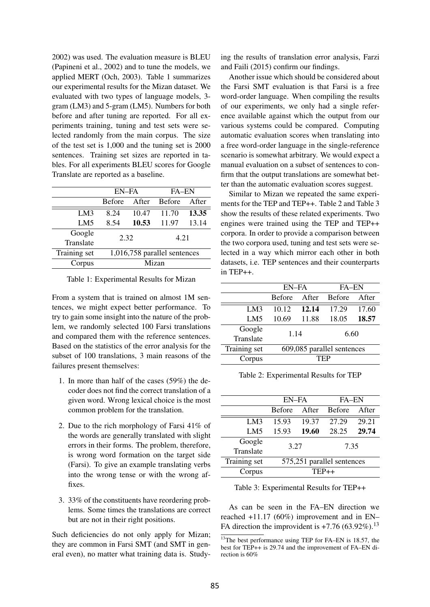2002) was used. The evaluation measure is BLEU (Papineni et al., 2002) and to tune the models, we applied MERT (Och, 2003). Table 1 summarizes our experimental results for the Mizan dataset. We evaluated with two types of language models, 3 gram (LM3) and 5-gram (LM5). Numbers for both before and after tuning are reported. For all experiments training, tuning and test sets were selected randomly from the main corpus. The size of the test set is 1,000 and the tuning set is 2000 sentences. Training set sizes are reported in tables. For all experiments BLEU scores for Google Translate are reported as a baseline.

|                 | EN-FA                        |       | <b>FA-EN</b>  |       |  |
|-----------------|------------------------------|-------|---------------|-------|--|
|                 | <b>Before</b>                | After | <b>Before</b> | After |  |
| LM3             | 8.24                         | 10.47 | 11.70         | 13.35 |  |
| LM <sub>5</sub> | 8.54                         | 10.53 | 11.97         | 13.14 |  |
| Google          | 2.32                         |       | 4.21          |       |  |
| Translate       |                              |       |               |       |  |
| Training set    | 1,016,758 parallel sentences |       |               |       |  |
| Corpus          | Mizan                        |       |               |       |  |

Table 1: Experimental Results for Mizan

From a system that is trained on almost 1M sentences, we might expect better performance. To try to gain some insight into the nature of the problem, we randomly selected 100 Farsi translations and compared them with the reference sentences. Based on the statistics of the error analysis for the subset of 100 translations, 3 main reasons of the failures present themselves:

- 1. In more than half of the cases (59%) the decoder does not find the correct translation of a given word. Wrong lexical choice is the most common problem for the translation.
- 2. Due to the rich morphology of Farsi 41% of the words are generally translated with slight errors in their forms. The problem, therefore, is wrong word formation on the target side (Farsi). To give an example translating verbs into the wrong tense or with the wrong affixes.
- 3. 33% of the constituents have reordering problems. Some times the translations are correct but are not in their right positions.

Such deficiencies do not only apply for Mizan; they are common in Farsi SMT (and SMT in general even), no matter what training data is. Studying the results of translation error analysis, Farzi and Faili (2015) confirm our findings.

Another issue which should be considered about the Farsi SMT evaluation is that Farsi is a free word-order language. When compiling the results of our experiments, we only had a single reference available against which the output from our various systems could be compared. Computing automatic evaluation scores when translating into a free word-order language in the single-reference scenario is somewhat arbitrary. We would expect a manual evaluation on a subset of sentences to confirm that the output translations are somewhat better than the automatic evaluation scores suggest.

Similar to Mizan we repeated the same experiments for the TEP and TEP++. Table 2 and Table 3 show the results of these related experiments. Two engines were trained using the TEP and TEP++ corpora. In order to provide a comparison between the two corpora used, tuning and test sets were selected in a way which mirror each other in both datasets, i.e. TEP sentences and their counterparts in TEP++.

|              | EN-FA                      |       | <b>FA-EN</b>  |       |  |
|--------------|----------------------------|-------|---------------|-------|--|
|              | <b>Before</b>              | After | <b>Before</b> | After |  |
| LM3          | 10.12                      | 12.14 | 17.29         | 17.60 |  |
| LM5          | 10.69                      | 11.88 | 18.05         | 18.57 |  |
| Google       | 1.14                       |       | 6.60          |       |  |
| Translate    |                            |       |               |       |  |
| Training set | 609,085 parallel sentences |       |               |       |  |
| Corpus       | TEP                        |       |               |       |  |

Table 2: Experimental Results for TEP

|              | EN-FA                      |       | <b>FA-EN</b>  |       |  |
|--------------|----------------------------|-------|---------------|-------|--|
|              | <b>Before</b>              | After | <b>Before</b> | After |  |
| LM3          | 15.93                      | 19.37 | 27.29         | 29.21 |  |
| LM5          | 15.93                      | 19.60 | 28.25         | 29.74 |  |
| Google       | 3.27                       |       | 7.35          |       |  |
| Translate    |                            |       |               |       |  |
| Training set | 575,251 parallel sentences |       |               |       |  |
| Corpus       | $TEP++$                    |       |               |       |  |

Table 3: Experimental Results for TEP++

As can be seen in the FA–EN direction we reached +11.17 (60%) improvement and in EN– FA direction the improvident is  $+7.76$  (63.92%).<sup>13</sup>

<sup>&</sup>lt;sup>13</sup>The best performance using TEP for FA–EN is 18.57, the best for TEP++ is 29.74 and the improvement of FA–EN direction is 60%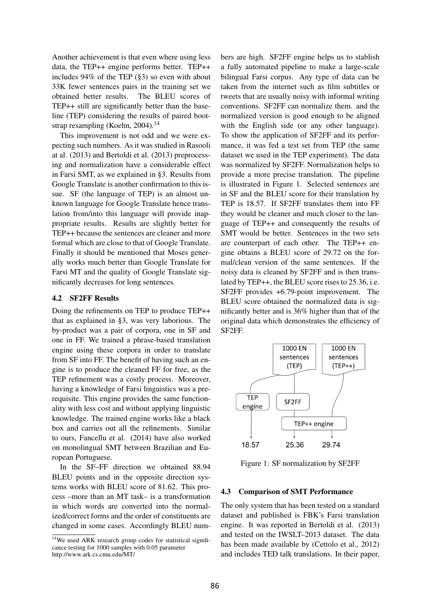Another achievement is that even where using less data, the TEP++ engine performs better. TEP++ includes 94% of the TEP (§3) so even with about 33K fewer sentences pairs in the training set we obtained better results. The BLEU scores of TEP++ still are significantly better than the baseline (TEP) considering the results of paired bootstrap resampling (Koehn, 2004).<sup>14</sup>

This improvement is not odd and we were expecting such numbers. As it was studied in Rasooli at al. (2013) and Bertoldi et al. (2013) preprocessing and normalization have a considerable effect in Farsi SMT, as we explained in §3. Results from Google Translate is another confirmation to this issue. SF (the language of TEP) is an almost unknown language for Google Translate hence translation from/into this language will provide inappropriate results. Results are slightly better for TEP++ because the sentences are cleaner and more formal which are close to that of Google Translate. Finally it should be mentioned that Moses generally works much better than Google Translate for Farsi MT and the quality of Google Translate significantly decreases for long sentences.

#### 4.2 SF2FF Results

Doing the refinements on TEP to produce TEP++ that as explained in §3, was very laborious. The by-product was a pair of corpora, one in SF and one in FF. We trained a phrase-based translation engine using these corpora in order to translate from SF into FF. The benefit of having such an engine is to produce the cleaned FF for free, as the TEP refinement was a costly process. Moreover, having a knowledge of Farsi linguistics was a prerequisite. This engine provides the same functionality with less cost and without applying linguistic knowledge. The trained engine works like a black box and carries out all the refinements. Similar to ours, Fancellu et al. (2014) have also worked on monolingual SMT between Brazilian and European Portuguese.

In the SF–FF direction we obtained 88.94 BLEU points and in the opposite direction systems works with BLEU score of 81.62. This process –more than an MT task– is a transformation in which words are converted into the normalized/correct forms and the order of constituents are changed in some cases. Accordingly BLEU numbers are high. SF2FF engine helps us to stablish a fully automated pipeline to make a large-scale bilingual Farsi corpus. Any type of data can be taken from the internet such as film subtitles or tweets that are usually noisy with informal writing conventions. SF2FF can normalize them. and the normalized version is good enough to be aligned with the English side (or any other language). To show the application of SF2FF and its performance, it was fed a test set from TEP (the same dataset we used in the TEP experiment). The data was normalized by SF2FF. Normalization helps to provide a more precise translation. The pipeline is illustrated in Figure 1. Selected sentences are in SF and the BLEU score for their translation by TEP is 18.57. If SF2FF translates them into FF they would be cleaner and much closer to the language of TEP++ and consequently the results of SMT would be better. Sentences in the two sets are counterpart of each other. The TEP++ engine obtains a BLEU score of 29.72 on the formal/clean version of the same sentences. If the noisy data is cleaned by SF2FF and is then translated by TEP++, the BLEU score rises to 25.36, i.e. SF2FF provides +6.79-point improvement. The BLEU score obtained the normalized data is significantly better and is 36% higher than that of the original data which demonstrates the efficiency of SF2FF.



Figure 1: SF normalization by SF2FF

#### 4.3 Comparison of SMT Performance

The only system that has been tested on a standard dataset and published is FBK's Farsi translation engine. It was reported in Bertoldi et al. (2013) and tested on the IWSLT–2013 dataset. The data has been made available by (Cettolo et al., 2012) and includes TED talk translations. In their paper,

 $14$ We used ARK research group codes for statistical significance testing for 1000 samples with 0.05 parameter http://www.ark.cs.cmu.edu/MT/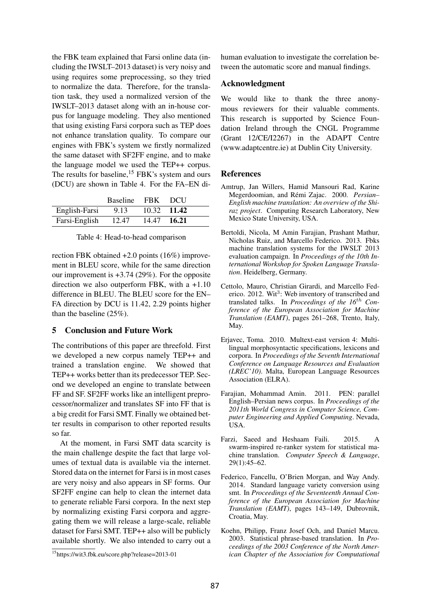the FBK team explained that Farsi online data (including the IWSLT–2013 dataset) is very noisy and using requires some preprocessing, so they tried to normalize the data. Therefore, for the translation task, they used a normalized version of the IWSLT–2013 dataset along with an in-house corpus for language modeling. They also mentioned that using existing Farsi corpora such as TEP does not enhance translation quality. To compare our engines with FBK's system we firstly normalized the same dataset with SF2FF engine, and to make the language model we used the TEP++ corpus. The results for baseline,  $15$  FBK's system and ours (DCU) are shown in Table 4. For the FA–EN di-

|               | Baseline FBK |             | - DCH         |
|---------------|--------------|-------------|---------------|
| English-Farsi | 9.13         |             | $10.32$ 11.42 |
| Farsi-English | 12.47        | 14.47 16.21 |               |

Table 4: Head-to-head comparison

rection FBK obtained +2.0 points (16%) improvement in BLEU score, while for the same direction our improvement is  $+3.74$  (29%). For the opposite direction we also outperform FBK, with a +1.10 difference in BLEU. The BLEU score for the EN– FA direction by DCU is 11.42, 2.29 points higher than the baseline (25%).

### 5 Conclusion and Future Work

The contributions of this paper are threefold. First we developed a new corpus namely TEP++ and trained a translation engine. We showed that TEP++ works better than its predecessor TEP. Second we developed an engine to translate between FF and SF. SF2FF works like an intelligent preprocessor/normalizer and translates SF into FF that is a big credit for Farsi SMT. Finally we obtained better results in comparison to other reported results so far.

At the moment, in Farsi SMT data scarcity is the main challenge despite the fact that large volumes of textual data is available via the internet. Stored data on the internet for Farsi is in most cases are very noisy and also appears in SF forms. Our SF2FF engine can help to clean the internet data to generate reliable Farsi corpora. In the next step by normalizing existing Farsi corpora and aggregating them we will release a large-scale, reliable dataset for Farsi SMT. TEP++ also will be publicly available shortly. We also intended to carry out a human evaluation to investigate the correlation between the automatic score and manual findings.

### Acknowledgment

We would like to thank the three anonymous reviewers for their valuable comments. This research is supported by Science Foundation Ireland through the CNGL Programme (Grant 12/CE/I2267) in the ADAPT Centre (www.adaptcentre.ie) at Dublin City University.

### References

- Amtrup, Jan Willers, Hamid Mansouri Rad, Karine Megerdoomian, and Rémi Zajac. 2000. Persian-*English machine translation: An overview of the Shiraz project*. Computing Research Laboratory, New Mexico State University, USA.
- Bertoldi, Nicola, M Amin Farajian, Prashant Mathur, Nicholas Ruiz, and Marcello Federico. 2013. Fbks machine translation systems for the IWSLT 2013 evaluation campaign. In *Proceedings of the 10th International Workshop for Spoken Language Translation*. Heidelberg, Germany.
- Cettolo, Mauro, Christian Girardi, and Marcello Federico. 2012. Wit<sup>3</sup>: Web inventory of transcribed and translated talks. In *Proceedings of the 16*th *Conference of the European Association for Machine Translation (EAMT)*, pages 261–268, Trento, Italy, May.
- Erjavec, Toma. 2010. Multext-east version 4: Multilingual morphosyntactic specifications, lexicons and corpora. In *Proceedings of the Seventh International Conference on Language Resources and Evaluation (LREC'10)*. Malta, European Language Resources Association (ELRA).
- Farajian, Mohammad Amin. 2011. PEN: parallel English–Persian news corpus. In *Proceedings of the 2011th World Congress in Computer Science, Computer Engineering and Applied Computing*. Nevada, USA.
- Farzi, Saeed and Heshaam Faili. 2015. A swarm-inspired re-ranker system for statistical machine translation. *Computer Speech & Language*, 29(1):45–62.
- Federico, Fancellu, O'Brien Morgan, and Way Andy. 2014. Standard language variety conversion using smt. In *Proceedings of the Seventeenth Annual Conference of the European Association for Machine Translation (EAMT)*, pages 143–149, Dubrovnik, Croatia, May.
- Koehn, Philipp, Franz Josef Och, and Daniel Marcu. 2003. Statistical phrase-based translation. In *Proceedings of the 2003 Conference of the North American Chapter of the Association for Computational*

<sup>15</sup>https://wit3.fbk.eu/score.php?release=2013-01